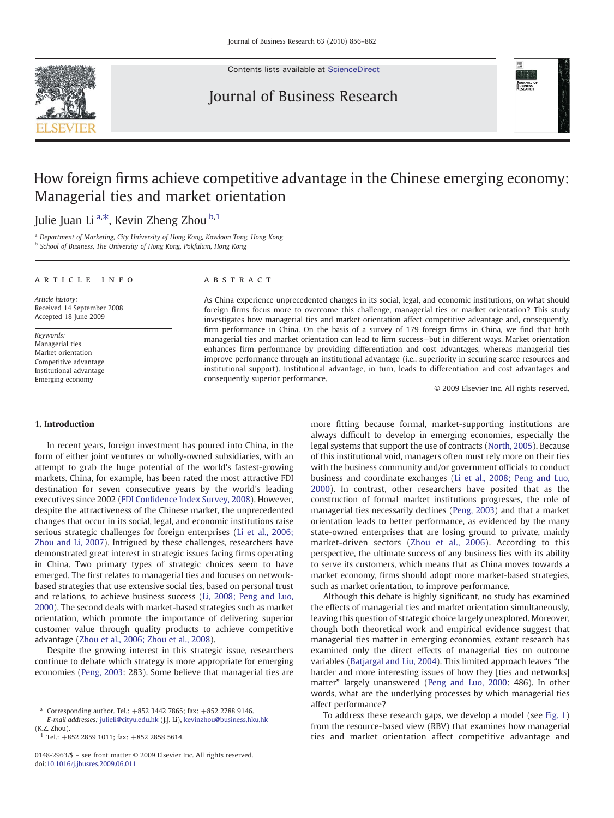

Contents lists available at [ScienceDirect](http://www.sciencedirect.com/science/journal/01482963)

# Journal of Business Research



# How foreign firms achieve competitive advantage in the Chinese emerging economy: Managerial ties and market orientation

## Julie Juan Li <sup>a,\*</sup>, Kevin Zheng Zhou <sup>b,1</sup>

<sup>a</sup> Department of Marketing, City University of Hong Kong, Kowloon Tong, Hong Kong

<sup>b</sup> School of Business, The University of Hong Kong, Pokfulam, Hong Kong

### article info abstract

Article history: Received 14 September 2008 Accepted 18 June 2009

Keywords: Managerial ties Market orientation Competitive advantage Institutional advantage Emerging economy

1. Introduction

### In recent years, foreign investment has poured into China, in the form of either joint ventures or wholly-owned subsidiaries, with an attempt to grab the huge potential of the world's fastest-growing markets. China, for example, has been rated the most attractive FDI destination for seven consecutive years by the world's leading executives since 2002 (FDI Confi[dence Index Survey, 2008\)](#page--1-0). However, despite the attractiveness of the Chinese market, the unprecedented changes that occur in its social, legal, and economic institutions raise serious strategic challenges for foreign enterprises ([Li et al., 2006;](#page--1-0) [Zhou and Li, 2007\)](#page--1-0). Intrigued by these challenges, researchers have demonstrated great interest in strategic issues facing firms operating in China. Two primary types of strategic choices seem to have emerged. The first relates to managerial ties and focuses on networkbased strategies that use extensive social ties, based on personal trust and relations, to achieve business success ([Li, 2008; Peng and Luo,](#page--1-0) [2000\)](#page--1-0). The second deals with market-based strategies such as market orientation, which promote the importance of delivering superior customer value through quality products to achieve competitive advantage [\(Zhou et al., 2006; Zhou et al., 2008\)](#page--1-0).

Despite the growing interest in this strategic issue, researchers continue to debate which strategy is more appropriate for emerging economies ([Peng, 2003](#page--1-0): 283). Some believe that managerial ties are

As China experience unprecedented changes in its social, legal, and economic institutions, on what should foreign firms focus more to overcome this challenge, managerial ties or market orientation? This study investigates how managerial ties and market orientation affect competitive advantage and, consequently, firm performance in China. On the basis of a survey of 179 foreign firms in China, we find that both managerial ties and market orientation can lead to firm success—but in different ways. Market orientation enhances firm performance by providing differentiation and cost advantages, whereas managerial ties improve performance through an institutional advantage (i.e., superiority in securing scarce resources and institutional support). Institutional advantage, in turn, leads to differentiation and cost advantages and consequently superior performance.

© 2009 Elsevier Inc. All rights reserved.

more fitting because formal, market-supporting institutions are always difficult to develop in emerging economies, especially the legal systems that support the use of contracts ([North, 2005\)](#page--1-0). Because of this institutional void, managers often must rely more on their ties with the business community and/or government officials to conduct business and coordinate exchanges ([Li et al., 2008; Peng and Luo,](#page--1-0) [2000](#page--1-0)). In contrast, other researchers have posited that as the construction of formal market institutions progresses, the role of managerial ties necessarily declines [\(Peng, 2003\)](#page--1-0) and that a market orientation leads to better performance, as evidenced by the many state-owned enterprises that are losing ground to private, mainly market-driven sectors [\(Zhou et al., 2006\)](#page--1-0). According to this perspective, the ultimate success of any business lies with its ability to serve its customers, which means that as China moves towards a market economy, firms should adopt more market-based strategies, such as market orientation, to improve performance.

Although this debate is highly significant, no study has examined the effects of managerial ties and market orientation simultaneously, leaving this question of strategic choice largely unexplored. Moreover, though both theoretical work and empirical evidence suggest that managerial ties matter in emerging economies, extant research has examined only the direct effects of managerial ties on outcome variables [\(Batjargal and Liu, 2004](#page--1-0)). This limited approach leaves "the harder and more interesting issues of how they [ties and networks] matter" largely unanswered [\(Peng and Luo, 2000:](#page--1-0) 486). In other words, what are the underlying processes by which managerial ties affect performance?

To address these research gaps, we develop a model (see [Fig. 1](#page-1-0)) from the resource-based view (RBV) that examines how managerial ties and market orientation affect competitive advantage and

<sup>⁎</sup> Corresponding author. Tel.: +852 3442 7865; fax: +852 2788 9146. E-mail addresses: [julieli@cityu.edu.hk](mailto:julieli@cityu.edu.hk) (J.J. Li), [kevinzhou@business.hku.hk](mailto:kevinzhou@business.hku.hk) (K.Z. Zhou).

<sup>1</sup> Tel.: +852 2859 1011; fax: +852 2858 5614.

<sup>0148-2963/\$</sup> – see front matter © 2009 Elsevier Inc. All rights reserved. doi[:10.1016/j.jbusres.2009.06.011](http://dx.doi.org/10.1016/j.jbusres.2009.06.011)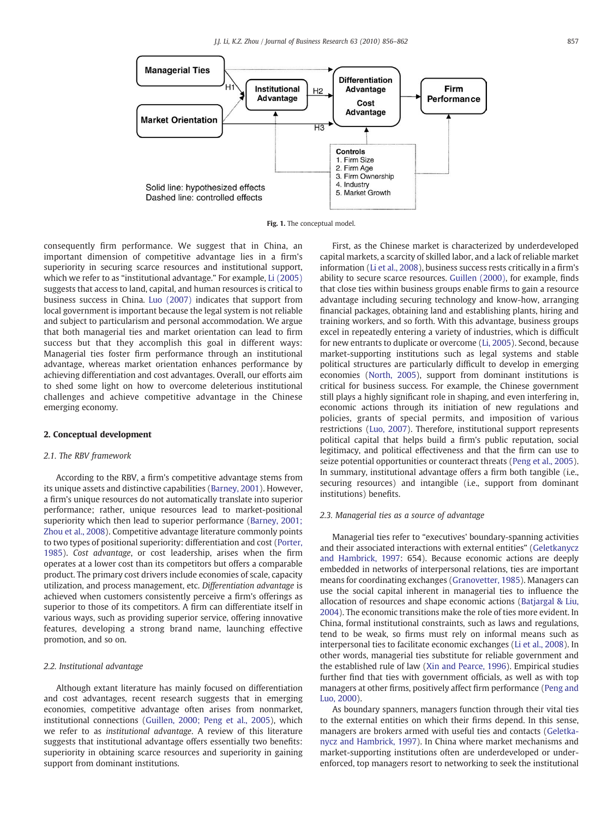<span id="page-1-0"></span>

Fig. 1. The conceptual model.

consequently firm performance. We suggest that in China, an important dimension of competitive advantage lies in a firm's superiority in securing scarce resources and institutional support, which we refer to as "institutional advantage." For example, [Li \(2005\)](#page--1-0) suggests that access to land, capital, and human resources is critical to business success in China. [Luo \(2007\)](#page--1-0) indicates that support from local government is important because the legal system is not reliable and subject to particularism and personal accommodation. We argue that both managerial ties and market orientation can lead to firm success but that they accomplish this goal in different ways: Managerial ties foster firm performance through an institutional advantage, whereas market orientation enhances performance by achieving differentiation and cost advantages. Overall, our efforts aim to shed some light on how to overcome deleterious institutional challenges and achieve competitive advantage in the Chinese emerging economy.

### 2. Conceptual development

### 2.1. The RBV framework

According to the RBV, a firm's competitive advantage stems from its unique assets and distinctive capabilities ([Barney, 2001\)](#page--1-0). However, a firm's unique resources do not automatically translate into superior performance; rather, unique resources lead to market-positional superiority which then lead to superior performance ([Barney, 2001;](#page--1-0) [Zhou et al., 2008\)](#page--1-0). Competitive advantage literature commonly points to two types of positional superiority: differentiation and cost [\(Porter,](#page--1-0) [1985\)](#page--1-0). Cost advantage, or cost leadership, arises when the firm operates at a lower cost than its competitors but offers a comparable product. The primary cost drivers include economies of scale, capacity utilization, and process management, etc. Differentiation advantage is achieved when customers consistently perceive a firm's offerings as superior to those of its competitors. A firm can differentiate itself in various ways, such as providing superior service, offering innovative features, developing a strong brand name, launching effective promotion, and so on.

### 2.2. Institutional advantage

Although extant literature has mainly focused on differentiation and cost advantages, recent research suggests that in emerging economies, competitive advantage often arises from nonmarket, institutional connections [\(Guillen, 2000; Peng et al., 2005](#page--1-0)), which we refer to as institutional advantage. A review of this literature suggests that institutional advantage offers essentially two benefits: superiority in obtaining scarce resources and superiority in gaining support from dominant institutions.

First, as the Chinese market is characterized by underdeveloped capital markets, a scarcity of skilled labor, and a lack of reliable market information [\(Li et al., 2008\)](#page--1-0), business success rests critically in a firm's ability to secure scarce resources. [Guillen \(2000\),](#page--1-0) for example, finds that close ties within business groups enable firms to gain a resource advantage including securing technology and know-how, arranging financial packages, obtaining land and establishing plants, hiring and training workers, and so forth. With this advantage, business groups excel in repeatedly entering a variety of industries, which is difficult for new entrants to duplicate or overcome ([Li, 2005\)](#page--1-0). Second, because market-supporting institutions such as legal systems and stable political structures are particularly difficult to develop in emerging economies ([North, 2005\)](#page--1-0), support from dominant institutions is critical for business success. For example, the Chinese government still plays a highly significant role in shaping, and even interfering in, economic actions through its initiation of new regulations and policies, grants of special permits, and imposition of various restrictions [\(Luo, 2007\)](#page--1-0). Therefore, institutional support represents political capital that helps build a firm's public reputation, social legitimacy, and political effectiveness and that the firm can use to seize potential opportunities or counteract threats [\(Peng et al., 2005](#page--1-0)). In summary, institutional advantage offers a firm both tangible (i.e., securing resources) and intangible (i.e., support from dominant institutions) benefits.

### 2.3. Managerial ties as a source of advantage

Managerial ties refer to "executives' boundary-spanning activities and their associated interactions with external entities" [\(Geletkanycz](#page--1-0) [and Hambrick, 1997](#page--1-0): 654). Because economic actions are deeply embedded in networks of interpersonal relations, ties are important means for coordinating exchanges [\(Granovetter, 1985\)](#page--1-0). Managers can use the social capital inherent in managerial ties to influence the allocation of resources and shape economic actions ([Batjargal & Liu,](#page--1-0) [2004\)](#page--1-0). The economic transitions make the role of ties more evident. In China, formal institutional constraints, such as laws and regulations, tend to be weak, so firms must rely on informal means such as interpersonal ties to facilitate economic exchanges [\(Li et al., 2008](#page--1-0)). In other words, managerial ties substitute for reliable government and the established rule of law ([Xin and Pearce, 1996](#page--1-0)). Empirical studies further find that ties with government officials, as well as with top managers at other firms, positively affect firm performance [\(Peng and](#page--1-0) [Luo, 2000](#page--1-0)).

As boundary spanners, managers function through their vital ties to the external entities on which their firms depend. In this sense, managers are brokers armed with useful ties and contacts ([Geletka](#page--1-0)[nycz and Hambrick, 1997](#page--1-0)). In China where market mechanisms and market-supporting institutions often are underdeveloped or underenforced, top managers resort to networking to seek the institutional